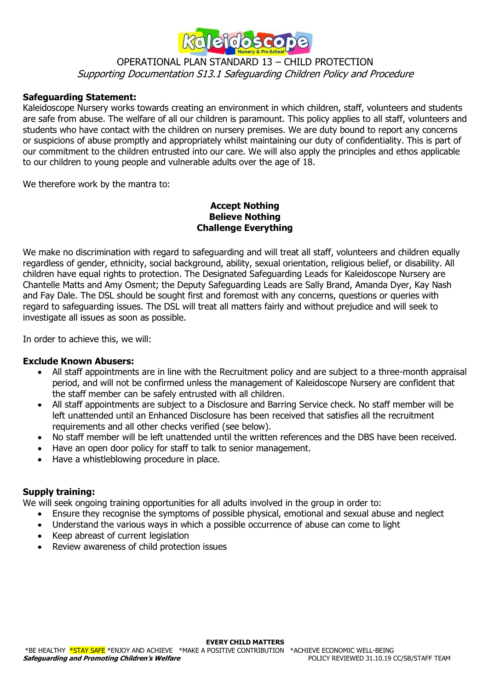

#### **Safeguarding Statement:**

Kaleidoscope Nursery works towards creating an environment in which children, staff, volunteers and students are safe from abuse. The welfare of all our children is paramount. This policy applies to all staff, volunteers and students who have contact with the children on nursery premises. We are duty bound to report any concerns or suspicions of abuse promptly and appropriately whilst maintaining our duty of confidentiality. This is part of our commitment to the children entrusted into our care. We will also apply the principles and ethos applicable to our children to young people and vulnerable adults over the age of 18.

We therefore work by the mantra to:

#### **Accept Nothing Believe Nothing Challenge Everything**

We make no discrimination with regard to safeguarding and will treat all staff, volunteers and children equally regardless of gender, ethnicity, social background, ability, sexual orientation, religious belief, or disability. All children have equal rights to protection. The Designated Safeguarding Leads for Kaleidoscope Nursery are Chantelle Matts and Amy Osment; the Deputy Safeguarding Leads are Sally Brand, Amanda Dyer, Kay Nash and Fay Dale. The DSL should be sought first and foremost with any concerns, questions or queries with regard to safeguarding issues. The DSL will treat all matters fairly and without prejudice and will seek to investigate all issues as soon as possible.

In order to achieve this, we will:

#### **Exclude Known Abusers:**

- All staff appointments are in line with the Recruitment policy and are subject to a three-month appraisal period, and will not be confirmed unless the management of Kaleidoscope Nursery are confident that the staff member can be safely entrusted with all children.
- All staff appointments are subject to a Disclosure and Barring Service check. No staff member will be left unattended until an Enhanced Disclosure has been received that satisfies all the recruitment requirements and all other checks verified (see below).
- No staff member will be left unattended until the written references and the DBS have been received.
- Have an open door policy for staff to talk to senior management.
- Have a whistleblowing procedure in place.

#### **Supply training:**

We will seek ongoing training opportunities for all adults involved in the group in order to:

- Ensure they recognise the symptoms of possible physical, emotional and sexual abuse and neglect
- Understand the various ways in which a possible occurrence of abuse can come to light
- Keep abreast of current legislation
- Review awareness of child protection issues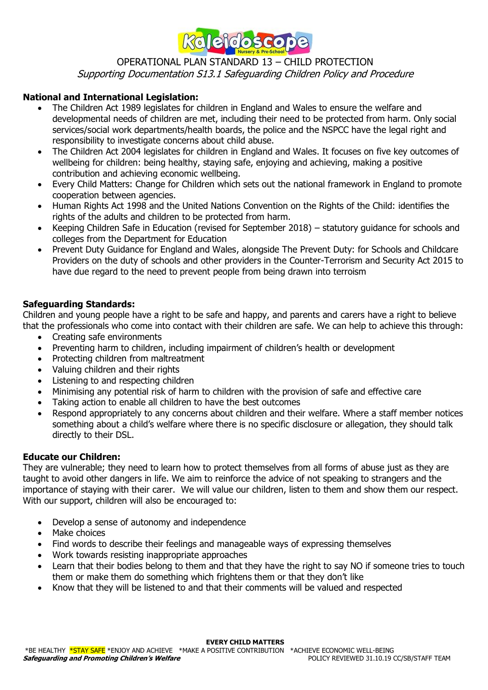

## **National and International Legislation:**

- The Children Act 1989 legislates for children in England and Wales to ensure the welfare and developmental needs of children are met, including their need to be protected from harm. Only social services/social work departments/health boards, the police and the NSPCC have the legal right and responsibility to investigate concerns about child abuse.
- The Children Act 2004 legislates for children in England and Wales. It focuses on five key outcomes of wellbeing for children: being healthy, staying safe, enjoying and achieving, making a positive contribution and achieving economic wellbeing.
- Every Child Matters: Change for Children which sets out the national framework in England to promote cooperation between agencies.
- Human Rights Act 1998 and the United Nations Convention on the Rights of the Child: identifies the rights of the adults and children to be protected from harm.
- Keeping Children Safe in Education (revised for September 2018) statutory guidance for schools and colleges from the Department for Education
- Prevent Duty Guidance for England and Wales, alongside The Prevent Duty: for Schools and Childcare Providers on the duty of schools and other providers in the Counter-Terrorism and Security Act 2015 to have due regard to the need to prevent people from being drawn into terroism

## **Safeguarding Standards:**

Children and young people have a right to be safe and happy, and parents and carers have a right to believe that the professionals who come into contact with their children are safe. We can help to achieve this through:

- Creating safe environments
- Preventing harm to children, including impairment of children's health or development
- Protecting children from maltreatment
- Valuing children and their rights
- Listening to and respecting children
- Minimising any potential risk of harm to children with the provision of safe and effective care
- Taking action to enable all children to have the best outcomes
- Respond appropriately to any concerns about children and their welfare. Where a staff member notices something about a child's welfare where there is no specific disclosure or allegation, they should talk directly to their DSL.

## **Educate our Children:**

They are vulnerable; they need to learn how to protect themselves from all forms of abuse just as they are taught to avoid other dangers in life. We aim to reinforce the advice of not speaking to strangers and the importance of staying with their carer. We will value our children, listen to them and show them our respect. With our support, children will also be encouraged to:

- Develop a sense of autonomy and independence
- Make choices
- Find words to describe their feelings and manageable ways of expressing themselves
- Work towards resisting inappropriate approaches
- Learn that their bodies belong to them and that they have the right to say NO if someone tries to touch them or make them do something which frightens them or that they don't like
- Know that they will be listened to and that their comments will be valued and respected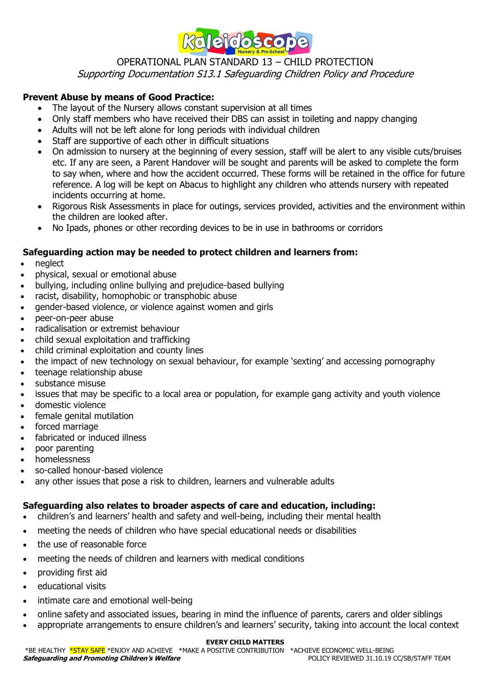

## **Prevent Abuse by means of Good Practice:**

- The layout of the Nursery allows constant supervision at all times
- Only staff members who have received their DBS can assist in toileting and nappy changing
- Adults will not be left alone for long periods with individual children
- Staff are supportive of each other in difficult situations
- On admission to nursery at the beginning of every session, staff will be alert to any visible cuts/bruises etc. If any are seen, a Parent Handover will be sought and parents will be asked to complete the form to say when, where and how the accident occurred. These forms will be retained in the office for future reference. A log will be kept on Abacus to highlight any children who attends nursery with repeated incidents occurring at home.
- Rigorous Risk Assessments in place for outings, services provided, activities and the environment within the children are looked after.
- No Ipads, phones or other recording devices to be in use in bathrooms or corridors

## **Safeguarding action may be needed to protect children and learners from:**

- neglect
- physical, sexual or emotional abuse
- bullying, including online bullying and prejudice-based bullying
- racist, disability, homophobic or transphobic abuse
- gender-based violence, or violence against women and girls
- peer-on-peer abuse
- radicalisation or extremist behaviour
- child sexual exploitation and trafficking
- child criminal exploitation and county lines
- the impact of new technology on sexual behaviour, for example 'sexting' and accessing pornography
- teenage relationship abuse
- substance misuse
- issues that may be specific to a local area or population, for example gang activity and youth violence
- domestic violence
- female genital mutilation
- forced marriage
- fabricated or induced illness
- poor parenting
- homelessness
- so-called honour-based violence
- any other issues that pose a risk to children, learners and vulnerable adults

## **Safeguarding also relates to broader aspects of care and education, including:**

- children's and learners' health and safety and well-being, including their mental health
- meeting the needs of children who have special educational needs or disabilities
- the use of reasonable force
- meeting the needs of children and learners with medical conditions
- providing first aid
- educational visits
- intimate care and emotional well-being
- online safety and associated issues, bearing in mind the influence of parents, carers and older siblings
- appropriate arrangements to ensure children's and learners' security, taking into account the local context

#### **EVERY CHILD MATTERS**

ERE HEALTHY <mark>\*STAY SAFE</mark> \*ENJOY AND ACHIEVE \*MAKE A POSITIVE CONTRIBUTION \*ACHIEVE ECONOMIC WELL-BEING \*&<br>POLICY REVIEWED 31.10.19 CC/SB/STAFF TEAM **Safeguarding and Promoting Children's Welfare**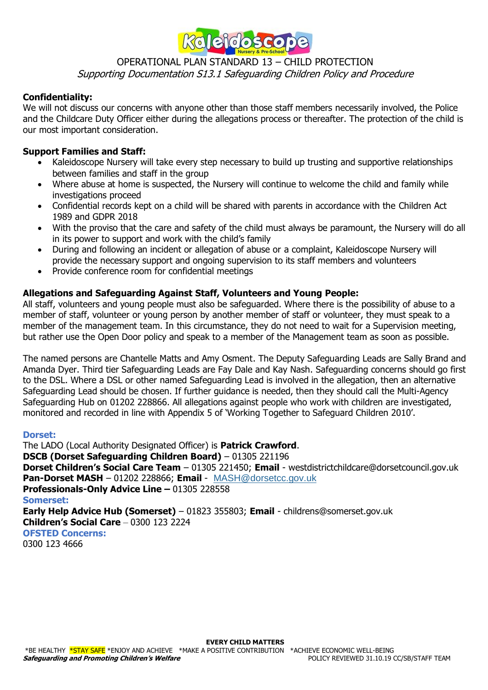

## **Confidentiality:**

We will not discuss our concerns with anyone other than those staff members necessarily involved, the Police and the Childcare Duty Officer either during the allegations process or thereafter. The protection of the child is our most important consideration.

## **Support Families and Staff:**

- Kaleidoscope Nursery will take every step necessary to build up trusting and supportive relationships between families and staff in the group
- Where abuse at home is suspected, the Nursery will continue to welcome the child and family while investigations proceed
- Confidential records kept on a child will be shared with parents in accordance with the Children Act 1989 and GDPR 2018
- With the proviso that the care and safety of the child must always be paramount, the Nursery will do all in its power to support and work with the child's family
- During and following an incident or allegation of abuse or a complaint, Kaleidoscope Nursery will provide the necessary support and ongoing supervision to its staff members and volunteers
- Provide conference room for confidential meetings

## **Allegations and Safeguarding Against Staff, Volunteers and Young People:**

All staff, volunteers and young people must also be safeguarded. Where there is the possibility of abuse to a member of staff, volunteer or young person by another member of staff or volunteer, they must speak to a member of the management team. In this circumstance, they do not need to wait for a Supervision meeting, but rather use the Open Door policy and speak to a member of the Management team as soon as possible.

The named persons are Chantelle Matts and Amy Osment. The Deputy Safeguarding Leads are Sally Brand and Amanda Dyer. Third tier Safeguarding Leads are Fay Dale and Kay Nash. Safeguarding concerns should go first to the DSL. Where a DSL or other named Safeguarding Lead is involved in the allegation, then an alternative Safeguarding Lead should be chosen. If further guidance is needed, then they should call the Multi-Agency Safeguarding Hub on 01202 228866. All allegations against people who work with children are investigated, monitored and recorded in line with Appendix 5 of 'Working Together to Safeguard Children 2010'.

#### **Dorset:**

The LADO (Local Authority Designated Officer) is **Patrick Crawford**. **DSCB (Dorset Safeguarding Children Board)** – 01305 221196 **Dorset Children's Social Care Team** – 01305 221450; **Email** - westdistrictchildcare@dorsetcouncil.gov.uk **Pan-Dorset MASH** – 01202 228866; **Email** - [MASH@dorsetcc.gov.uk](mailto:MASH@dorsetcc.gov.uk) **Professionals-Only Advice Line –** 01305 228558 **Somerset: Early Help Advice Hub (Somerset)** – 01823 355803; **Email** - childrens@somerset.gov.uk **Children's Social Care** – 0300 123 2224 **OFSTED Concerns:** 0300 123 4666